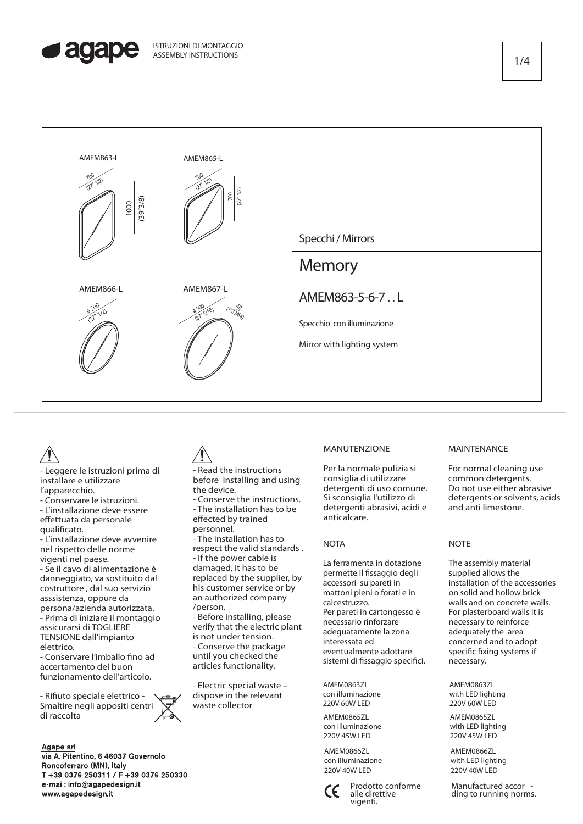





- Leggere le istruzioni prima di installare e utilizzare l'apparecchio.

- Conservare le istruzioni.

- L'installazione deve essere effettuata da personale qualificato.

- L'installazione deve avvenire nel rispetto delle norme vigenti nel paese.

- Se il cavo di alimentazione è danneggiato, va sostituito dal costruttore , dal suo servizio asssistenza, oppure da persona/azienda autorizzata. - Prima di iniziare il montaggio assicurarsi di TOGLIERE

TENSIONE dall'impianto elettrico. - Conservare l'imballo fino ad

accertamento del buon funzionamento dell'articolo.

- Rifiuto speciale elettrico -Smaltire negli appositi centri di raccolta

### Agape srl

via A. Pitentino, 6 46037 Governolo Roncoferraro (MN), Italy T +39 0376 250311 / F +39 0376 250330 e-mail: info@agapedesign.it www.agapedesign.it

- Read the instructions before installing and using the device.

- Conserve the instructions. - The installation has to be effected by trained personnel.

- The installation has to respect the valid standards . - If the power cable is damaged, it has to be replaced by the supplier, by his customer service or by an authorized company /person.

- Before installing, please verify that the electric plant is not under tension. - Conserve the package until you checked the articles functionality.

- Electric special waste – dispose in the relevant waste collector

# MANUTENZIONE

Per la normale pulizia si consiglia di utilizzare detergenti di uso comune. Si sconsiglia l'utilizzo di detergenti abrasivi, acidi e anticalcare.

### **NOTA**

La ferramenta in dotazione permette Il fissaggio degli accessori su pareti in mattoni pieni o forati e in calcestruzzo. Per pareti in cartongesso è necessario rinforzare adeguatamente la zona interessata ed eventualmente adottare sistemi di fissaggio specifici.

AMEM0863ZL con illuminazione 220V 60W LED

AMEM0865ZL con illuminazione 220V 45W LED

AMEM0866ZL con illuminazione 220V 40W LED



Prodotto conforme alle direttive vigenti.

#### MAINTENANCE

For normal cleaning use common detergents. Do not use either abrasive detergents or solvents, acids and anti limestone.

## **NOTE**

The assembly material supplied allows the installation of the accessories on solid and hollow brick walls and on concrete walls. For plasterboard walls it is necessary to reinforce adequately the area concerned and to adopt specific fixing systems if necessary.

AMEM0863ZL with LED lighting 220V 60W LED

AMEM0865ZL with LED lighting 220V 45W LED

AMEM0866ZL with LED lighting 220V 40W LED

Manufactured accor -<br>ding to running norms.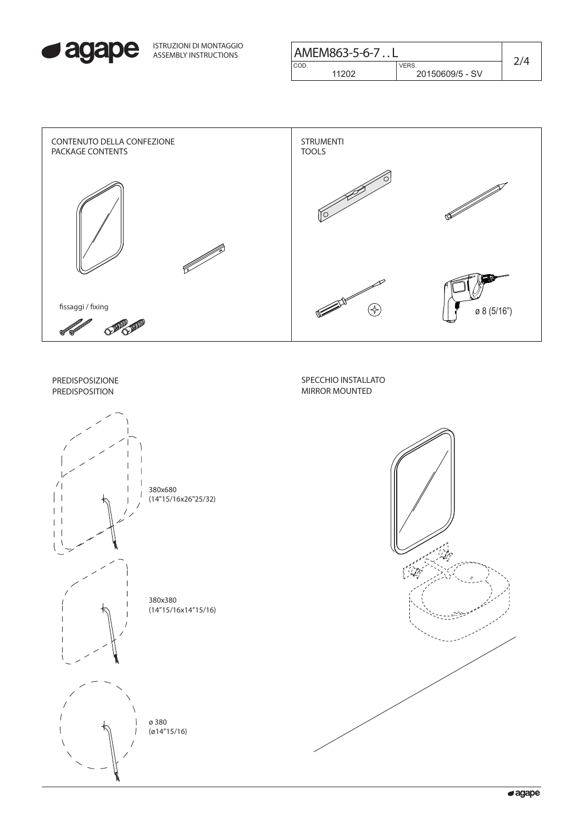

| ISTRUZIONI DI MONTAGGIO<br>ASSEMBLY INSTRUCTIONS | AMEM863-5-6-7L |                                |  |
|--------------------------------------------------|----------------|--------------------------------|--|
|                                                  | COD.<br>11202  | <b>VERS</b><br>20150609/5 - SV |  |

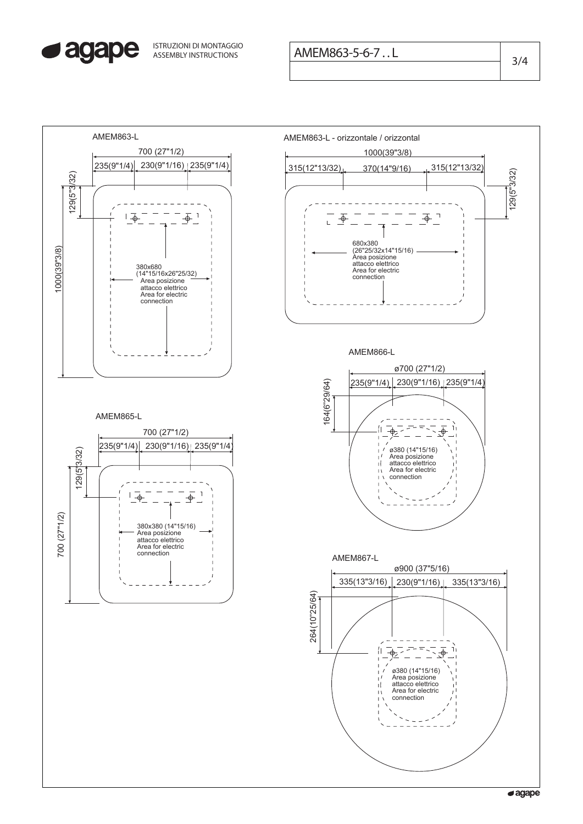